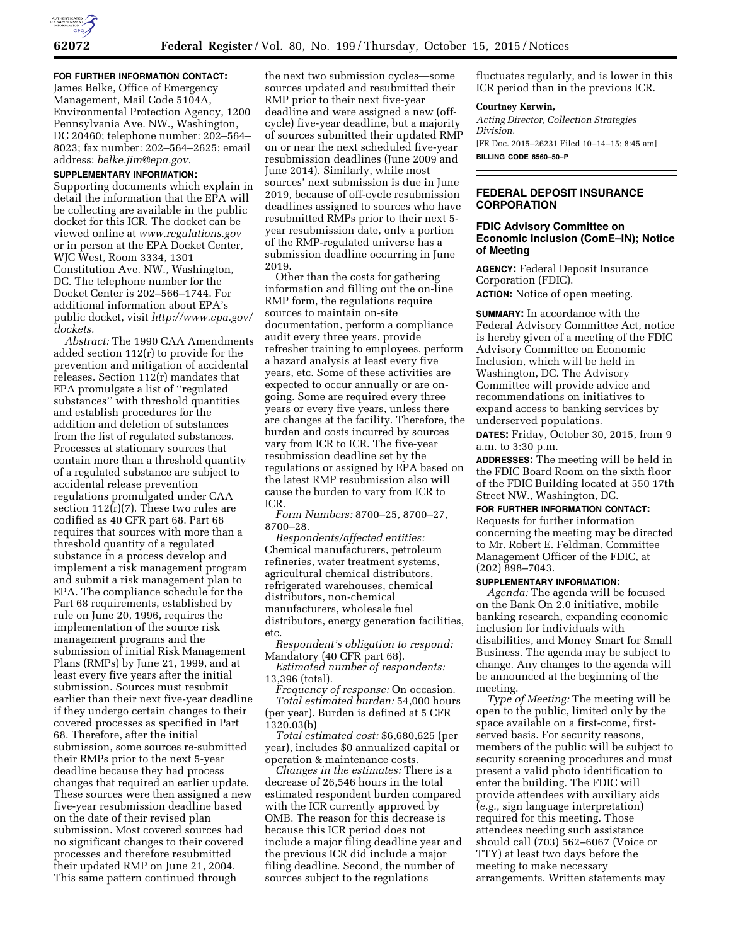

**FOR FURTHER INFORMATION CONTACT:**  James Belke, Office of Emergency Management, Mail Code 5104A, Environmental Protection Agency, 1200 Pennsylvania Ave. NW., Washington, DC 20460; telephone number: 202–564– 8023; fax number: 202–564–2625; email address: *[belke.jim@epa.gov.](mailto:belke.jim@epa.gov)* 

# **SUPPLEMENTARY INFORMATION:**

Supporting documents which explain in detail the information that the EPA will be collecting are available in the public docket for this ICR. The docket can be viewed online at *[www.regulations.gov](http://www.regulations.gov)*  or in person at the EPA Docket Center, WJC West, Room 3334, 1301 Constitution Ave. NW., Washington, DC. The telephone number for the Docket Center is 202–566–1744. For additional information about EPA's public docket, visit *[http://www.epa.gov/](http://www.epa.gov/dockets)  [dockets.](http://www.epa.gov/dockets)* 

*Abstract:* The 1990 CAA Amendments added section 112(r) to provide for the prevention and mitigation of accidental releases. Section 112(r) mandates that EPA promulgate a list of ''regulated substances'' with threshold quantities and establish procedures for the addition and deletion of substances from the list of regulated substances. Processes at stationary sources that contain more than a threshold quantity of a regulated substance are subject to accidental release prevention regulations promulgated under CAA section  $112(r)(7)$ . These two rules are codified as 40 CFR part 68. Part 68 requires that sources with more than a threshold quantity of a regulated substance in a process develop and implement a risk management program and submit a risk management plan to EPA. The compliance schedule for the Part 68 requirements, established by rule on June 20, 1996, requires the implementation of the source risk management programs and the submission of initial Risk Management Plans (RMPs) by June 21, 1999, and at least every five years after the initial submission. Sources must resubmit earlier than their next five-year deadline if they undergo certain changes to their covered processes as specified in Part 68. Therefore, after the initial submission, some sources re-submitted their RMPs prior to the next 5-year deadline because they had process changes that required an earlier update. These sources were then assigned a new five-year resubmission deadline based on the date of their revised plan submission. Most covered sources had no significant changes to their covered processes and therefore resubmitted their updated RMP on June 21, 2004. This same pattern continued through

the next two submission cycles—some sources updated and resubmitted their RMP prior to their next five-year deadline and were assigned a new (offcycle) five-year deadline, but a majority of sources submitted their updated RMP on or near the next scheduled five-year resubmission deadlines (June 2009 and June 2014). Similarly, while most sources' next submission is due in June 2019, because of off-cycle resubmission deadlines assigned to sources who have resubmitted RMPs prior to their next 5 year resubmission date, only a portion of the RMP-regulated universe has a submission deadline occurring in June 2019.

Other than the costs for gathering information and filling out the on-line RMP form, the regulations require sources to maintain on-site documentation, perform a compliance audit every three years, provide refresher training to employees, perform a hazard analysis at least every five years, etc. Some of these activities are expected to occur annually or are ongoing. Some are required every three years or every five years, unless there are changes at the facility. Therefore, the burden and costs incurred by sources vary from ICR to ICR. The five-year resubmission deadline set by the regulations or assigned by EPA based on the latest RMP resubmission also will cause the burden to vary from ICR to ICR.

*Form Numbers:* 8700–25, 8700–27, 8700–28.

*Respondents/affected entities:*  Chemical manufacturers, petroleum refineries, water treatment systems, agricultural chemical distributors, refrigerated warehouses, chemical distributors, non-chemical manufacturers, wholesale fuel distributors, energy generation facilities, etc.

*Respondent's obligation to respond:*  Mandatory (40 CFR part 68).

*Estimated number of respondents:*  13,396 (total).

*Frequency of response:* On occasion. *Total estimated burden:* 54,000 hours (per year). Burden is defined at 5 CFR 1320.03(b)

*Total estimated cost:* \$6,680,625 (per year), includes \$0 annualized capital or operation & maintenance costs.

*Changes in the estimates:* There is a decrease of 26,546 hours in the total estimated respondent burden compared with the ICR currently approved by OMB. The reason for this decrease is because this ICR period does not include a major filing deadline year and the previous ICR did include a major filing deadline. Second, the number of sources subject to the regulations

fluctuates regularly, and is lower in this ICR period than in the previous ICR.

#### **Courtney Kerwin,**

*Acting Director, Collection Strategies Division.*  [FR Doc. 2015–26231 Filed 10–14–15; 8:45 am] **BILLING CODE 6560–50–P** 

## **FEDERAL DEPOSIT INSURANCE CORPORATION**

## **FDIC Advisory Committee on Economic Inclusion (ComE–IN); Notice of Meeting**

**AGENCY:** Federal Deposit Insurance Corporation (FDIC). **ACTION:** Notice of open meeting.

**SUMMARY:** In accordance with the Federal Advisory Committee Act, notice is hereby given of a meeting of the FDIC Advisory Committee on Economic Inclusion, which will be held in Washington, DC. The Advisory Committee will provide advice and recommendations on initiatives to expand access to banking services by underserved populations.

**DATES:** Friday, October 30, 2015, from 9 a.m. to 3:30 p.m.

**ADDRESSES:** The meeting will be held in the FDIC Board Room on the sixth floor of the FDIC Building located at 550 17th Street NW., Washington, DC.

**FOR FURTHER INFORMATION CONTACT:**  Requests for further information concerning the meeting may be directed to Mr. Robert E. Feldman, Committee Management Officer of the FDIC, at (202) 898–7043.

#### **SUPPLEMENTARY INFORMATION:**

*Agenda:* The agenda will be focused on the Bank On 2.0 initiative, mobile banking research, expanding economic inclusion for individuals with disabilities, and Money Smart for Small Business. The agenda may be subject to change. Any changes to the agenda will be announced at the beginning of the meeting.

*Type of Meeting:* The meeting will be open to the public, limited only by the space available on a first-come, firstserved basis. For security reasons, members of the public will be subject to security screening procedures and must present a valid photo identification to enter the building. The FDIC will provide attendees with auxiliary aids (*e.g.,* sign language interpretation) required for this meeting. Those attendees needing such assistance should call (703) 562–6067 (Voice or TTY) at least two days before the meeting to make necessary arrangements. Written statements may